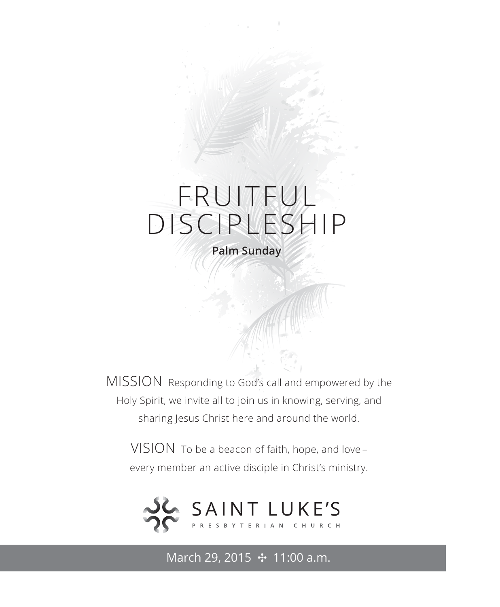# FRUITFUL DISCIPLESHIP

**Palm Sunday**

MISSION Responding to God's call and empowered by the Holy Spirit, we invite all to join us in knowing, serving, and sharing Jesus Christ here and around the world.

VISION To be a beacon of faith, hope, and love – every member an active disciple in Christ's ministry.



March 29, 2015 **⊹** 11:00 a.m.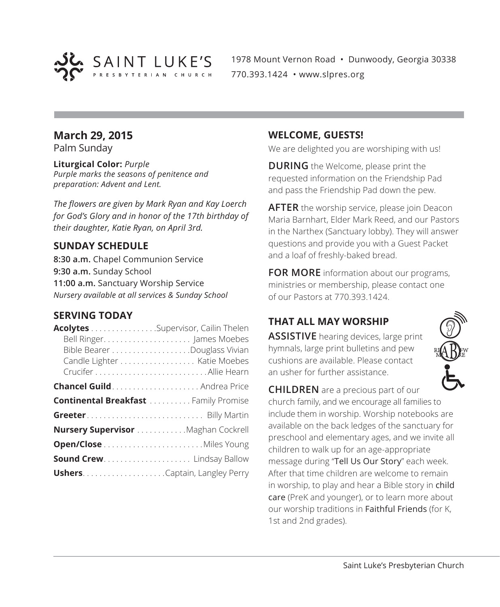

1978 Mount Vernon Road • Dunwoody, Georgia 30338 770.393.1424 • www.slpres.org

#### **March 29, 2015**

Palm Sunday

**Liturgical Color:** *Purple Purple marks the seasons of penitence and preparation: Advent and Lent.*

*The flowers are given by Mark Ryan and Kay Loerch for God's Glory and in honor of the 17th birthday of their daughter, Katie Ryan, on April 3rd.*

#### **SUNDAY SCHEDULE**

**8:30 a.m.** Chapel Communion Service **9:30 a.m.** Sunday School **11:00 a.m.** Sanctuary Worship Service *Nursery available at all services & Sunday School*

#### **SERVING TODAY**

| Acolytes Supervisor, Cailin Thelen           |                             |
|----------------------------------------------|-----------------------------|
|                                              |                             |
|                                              |                             |
|                                              | Candle Lighter Katie Moebes |
|                                              |                             |
| <b>Chancel Guild</b> Andrea Price            |                             |
| <b>Continental Breakfast  Family Promise</b> |                             |
|                                              |                             |
| Nursery Supervisor Maghan Cockrell           |                             |
|                                              |                             |
|                                              |                             |
|                                              |                             |

#### **WELCOME, GUESTS!**

We are delighted you are worshiping with us!

**DURING** the Welcome, please print the requested information on the Friendship Pad and pass the Friendship Pad down the pew.

**AFTER** the worship service, please join Deacon Maria Barnhart, Elder Mark Reed, and our Pastors in the Narthex (Sanctuary lobby). They will answer questions and provide you with a Guest Packet and a loaf of freshly-baked bread.

**FOR MORE** information about our programs, ministries or membership, please contact one of our Pastors at 770.393.1424.

#### **THAT ALL MAY WORSHIP**

**ASSISTIVE** hearing devices, large print hymnals, large print bulletins and pew cushions are available. Please contact an usher for further assistance.



our worship traditions in Faithful Friends (for K,

1st and 2nd grades).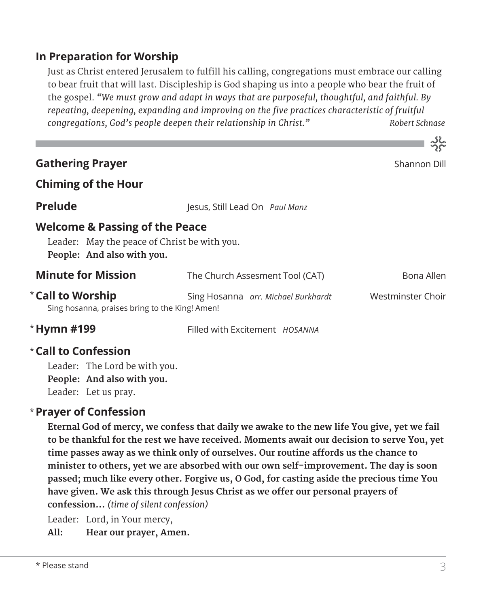#### **In Preparation for Worship**

Just as Christ entered Jerusalem to fulfill his calling, congregations must embrace our calling to bear fruit that will last. Discipleship is God shaping us into a people who bear the fruit of the gospel. *"We must grow and adapt in ways that are purposeful, thoughtful, and faithful. By repeating, deepening, expanding and improving on the five practices characteristic of fruitful congregations, God's people deepen their relationship in Christ." Robert Schnase*

|                                                                                                                         |                                     | $\widetilde{D}$ $\widetilde{C}$ |
|-------------------------------------------------------------------------------------------------------------------------|-------------------------------------|---------------------------------|
| <b>Gathering Prayer</b>                                                                                                 |                                     | Shannon Dill                    |
| <b>Chiming of the Hour</b>                                                                                              |                                     |                                 |
| <b>Prelude</b>                                                                                                          | lesus, Still Lead On Paul Manz      |                                 |
| <b>Welcome &amp; Passing of the Peace</b><br>Leader: May the peace of Christ be with you.<br>People: And also with you. |                                     |                                 |
| <b>Minute for Mission</b>                                                                                               | The Church Assesment Tool (CAT)     | Bona Allen                      |
| <b>*Call to Worship</b><br>Sing hosanna, praises bring to the King! Amen!                                               | Sing Hosanna arr. Michael Burkhardt | Westminster Choir               |
| * Hymn #199                                                                                                             | Filled with Excitement HOSANNA      |                                 |
| $^\star$ Call to Confession                                                                                             |                                     |                                 |

Leader: The Lord be with you. **People: And also with you.** Leader: Let us pray.

#### **Prayer of Confession**  \*

 **Eternal God of mercy, we confess that daily we awake to the new life You give, yet we fail to be thankful for the rest we have received. Moments await our decision to serve You, yet time passes away as we think only of ourselves. Our routine affords us the chance to minister to others, yet we are absorbed with our own self-improvement. The day is soon passed; much like every other. Forgive us, O God, for casting aside the precious time You have given. We ask this through Jesus Christ as we offer our personal prayers of confession...** *(time of silent confession)*

Leader: Lord, in Your mercy,

**All: Hear our prayer, Amen.**

 $\sim$  52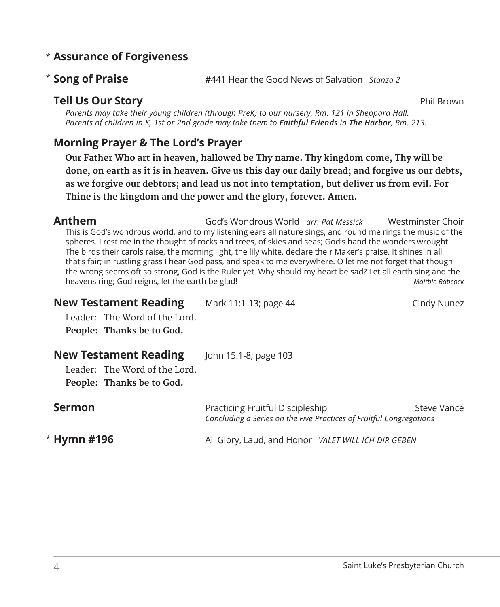#### **Assurance of Forgiveness** \*

#### **Song of Praise** #441 Hear the Good News of Salvation *Stanza 2* \* Song of Praise

#### **Tell Us Our Story** Phil Brown

*Parents may take their young children (through PreK) to our nursery, Rm. 121 in Sheppard Hall. Parents of children in K, 1st or 2nd grade may take them to Faithful Friends in The Harbor, Rm. 213.*

#### **Morning Prayer & The Lord's Prayer**

 **Our Father Who art in heaven, hallowed be Thy name. Thy kingdom come, Thy will be done, on earth as it is in heaven. Give us this day our daily bread; and forgive us our debts, as we forgive our debtors; and lead us not into temptation, but deliver us from evil. For Thine is the kingdom and the power and the glory, forever. Amen.**

**Anthem** God's Wondrous World *arr. Pat Messick* Westminster Choir This is God's wondrous world, and to my listening ears all nature sings, and round me rings the music of the spheres. I rest me in the thought of rocks and trees, of skies and seas; God's hand the wonders wrought. The birds their carols raise, the morning light, the lily white, declare their Maker's praise. It shines in all that's fair; in rustling grass I hear God pass, and speak to me everywhere. O let me not forget that though the wrong seems oft so strong, God is the Ruler yet. Why should my heart be sad? Let all earth sing and the heavens ring; God reigns, let the earth be glad! *Maltbie Babcock*

| <b>New Testament Reading</b><br>Leader: The Word of the Lord.<br>People: Thanks be to God. | Mark 11:1-13; page 44                                                                                   | Cindy Nunez |
|--------------------------------------------------------------------------------------------|---------------------------------------------------------------------------------------------------------|-------------|
| <b>New Testament Reading</b><br>Leader: The Word of the Lord.<br>People: Thanks be to God. | John 15:1-8; page 103                                                                                   |             |
| <b>Sermon</b>                                                                              | Practicing Fruitful Discipleship<br>Concluding a Series on the Five Practices of Fruitful Congregations | Steve Vance |

**Hymn #196** All Glory, Laud, and Honor *VALET WILL ICH DIR GEBEN* \* Hymn #196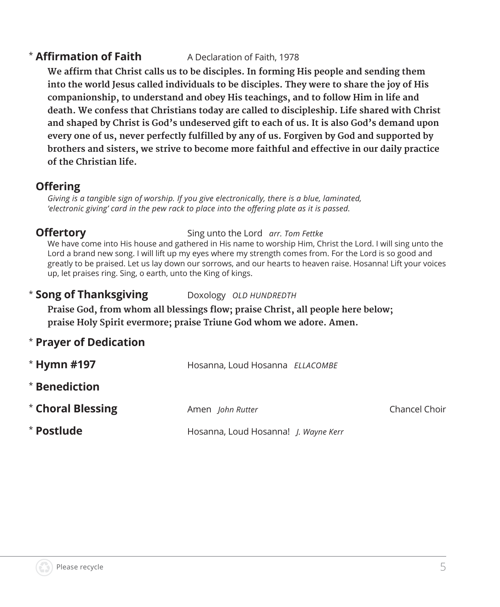#### **\* Affirmation of Faith Affirmation of Faith** A Declaration of Faith, 1978

**We affirm that Christ calls us to be disciples. In forming His people and sending them into the world Jesus called individuals to be disciples. They were to share the joy of His companionship, to understand and obey His teachings, and to follow Him in life and death. We confess that Christians today are called to discipleship. Life shared with Christ and shaped by Christ is God's undeserved gift to each of us. It is also God's demand upon every one of us, never perfectly fulfilled by any of us. Forgiven by God and supported by brothers and sisters, we strive to become more faithful and effective in our daily practice of the Christian life.**

#### **Offering**

*Giving is a tangible sign of worship. If you give electronically, there is a blue, laminated, 'electronic giving' card in the pew rack to place into the offering plate as it is passed.* 

#### **Offertory** Sing unto the Lord *arr. Tom Fettke*

 We have come into His house and gathered in His name to worship Him, Christ the Lord. I will sing unto the Lord a brand new song. I will lift up my eyes where my strength comes from. For the Lord is so good and greatly to be praised. Let us lay down our sorrows, and our hearts to heaven raise. Hosanna! Lift your voices up, let praises ring. Sing, o earth, unto the King of kings.

\* **Song of Thanksgiving** Doxology *OLD HUNDREDTH*

**Praise God, from whom all blessings flow; praise Christ, all people here below; praise Holy Spirit evermore; praise Triune God whom we adore. Amen.**

\* **Prayer of Dedication**

| $*$ Hymn #197     | Hosanna, Loud Hosanna ELLACOMBE             |               |
|-------------------|---------------------------------------------|---------------|
| * Benediction     |                                             |               |
| * Choral Blessing | Amen John Rutter                            | Chancel Choir |
| * Postlude        | Hosanna, Loud Hosanna! <i>I. Wayne Kerr</i> |               |

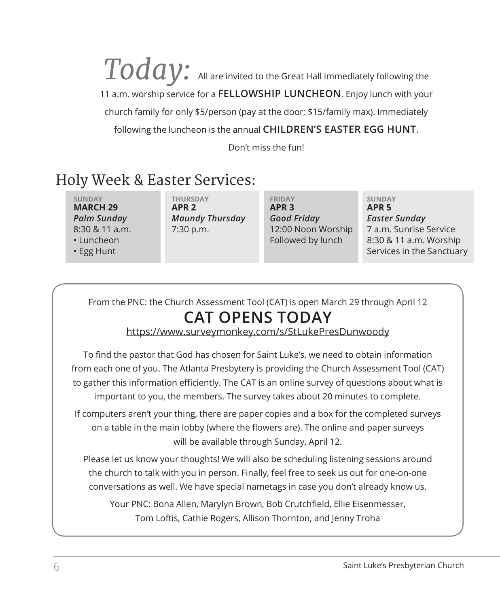$\overline{TOd}$   $Q$   $\overline{\!\!\! V}$  . All are invited to the Great Hall immediately following the 11 a.m. worship service for a **FELLOWSHIP LUNCHEON**. Enjoy lunch with your church family for only \$5/person (pay at the door; \$15/family max). Immediately following the luncheon is the annual **CHILDREN'S EASTER EGG HUNT**.

Don't miss the fun!

### Holy Week & Easter Services:

**SUNDAY THURSDAY FRIDAY SUNDAY MARCH 29 APR 2 APR 3 APR 5** *Palm Sunday Maundy Thursday Good Friday Easter Sunday*

8:30 & 11 a.m. 7:30 p.m. 12:00 Noon Worship 7 a.m. Sunrise Service • Luncheon Followed by lunch 8:30 & 11 a.m. Worship • Egg Hunt Services in the Sanctuary

From the PNC: the Church Assessment Tool (CAT) is open March 29 through April 12

## **CAT OPENS TODAY**

https://www.surveymonkey.com/s/StLukePresDunwoody

To find the pastor that God has chosen for Saint Luke's, we need to obtain information from each one of you. The Atlanta Presbytery is providing the Church Assessment Tool (CAT) to gather this information efficiently. The CAT is an online survey of questions about what is important to you, the members. The survey takes about 20 minutes to complete.

If computers aren't your thing, there are paper copies and a box for the completed surveys on a table in the main lobby (where the flowers are). The online and paper surveys will be available through Sunday, April 12.

Please let us know your thoughts! We will also be scheduling listening sessions around the church to talk with you in person. Finally, feel free to seek us out for one-on-one conversations as well. We have special nametags in case you don't already know us.

Your PNC: Bona Allen, Marylyn Brown, Bob Crutchfield, Ellie Eisenmesser, Tom Loftis, Cathie Rogers, Allison Thornton, and Jenny Troha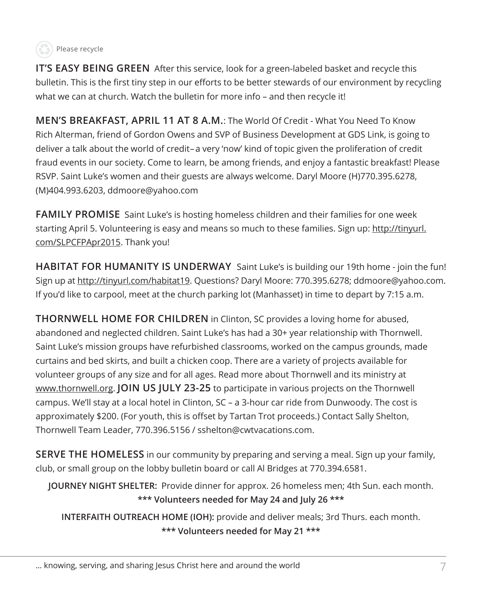

**IT'S EASY BEING GREEN** After this service, look for a green-labeled basket and recycle this bulletin. This is the first tiny step in our efforts to be better stewards of our environment by recycling what we can at church. Watch the bulletin for more info – and then recycle it!

**MEN'S BREAKFAST, APRIL 11 AT 8 A.M.**: The World Of Credit - What You Need To Know Rich Alterman, friend of Gordon Owens and SVP of Business Development at GDS Link, is going to deliver a talk about the world of credit–a very 'now' kind of topic given the proliferation of credit fraud events in our society. Come to learn, be among friends, and enjoy a fantastic breakfast! Please RSVP. Saint Luke's women and their guests are always welcome. Daryl Moore (H)770.395.6278, (M)404.993.6203, ddmoore@yahoo.com

**FAMILY PROMISE** Saint Luke's is hosting homeless children and their families for one week starting April 5. Volunteering is easy and means so much to these families. Sign up: http://tinyurl. com/SLPCFPApr2015. Thank you!

**HABITAT FOR HUMANITY IS UNDERWAY** Saint Luke's is building our 19th home - join the fun! Sign up at http://tinyurl.com/habitat19. Questions? Daryl Moore: 770.395.6278; ddmoore@yahoo.com. If you'd like to carpool, meet at the church parking lot (Manhasset) in time to depart by 7:15 a.m.

**THORNWELL HOME FOR CHILDREN** in Clinton, SC provides a loving home for abused, abandoned and neglected children. Saint Luke's has had a 30+ year relationship with Thornwell. Saint Luke's mission groups have refurbished classrooms, worked on the campus grounds, made curtains and bed skirts, and built a chicken coop. There are a variety of projects available for volunteer groups of any size and for all ages. Read more about Thornwell and its ministry at www.thornwell.org. **JOIN US JULY 23-25** to participate in various projects on the Thornwell campus. We'll stay at a local hotel in Clinton, SC – a 3-hour car ride from Dunwoody. The cost is approximately \$200. (For youth, this is offset by Tartan Trot proceeds.) Contact Sally Shelton, Thornwell Team Leader, 770.396.5156 / sshelton@cwtvacations.com.

**SERVE THE HOMELESS** in our community by preparing and serving a meal. Sign up your family, club, or small group on the lobby bulletin board or call Al Bridges at 770.394.6581.

**JOURNEY NIGHT SHELTER:** Provide dinner for approx. 26 homeless men; 4th Sun. each month. **\*\*\* Volunteers needed for May 24 and July 26 \*\*\***

**INTERFAITH OUTREACH HOME (IOH):** provide and deliver meals; 3rd Thurs. each month. **\*\*\* Volunteers needed for May 21 \*\*\***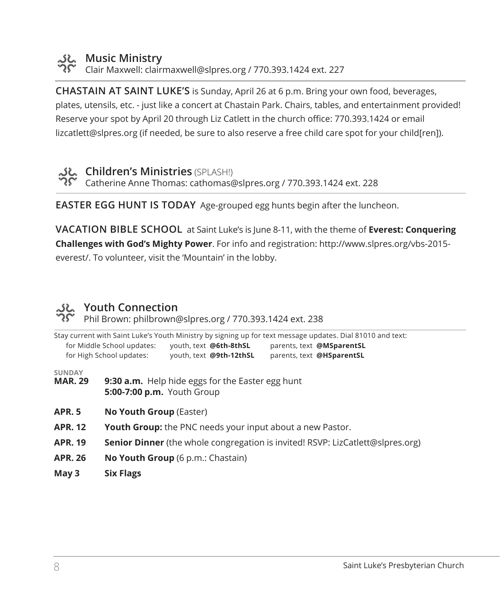

# **Music Ministry**<br>کوی Clair Movenue

Clair Maxwell: clairmaxwell@slpres.org / 770.393.1424 ext. 227

**CHASTAIN AT SAINT LUKE'S** is Sunday, April 26 at 6 p.m. Bring your own food, beverages, plates, utensils, etc. - just like a concert at Chastain Park. Chairs, tables, and entertainment provided! Reserve your spot by April 20 through Liz Catlett in the church office: 770.393.1424 or email lizcatlett@slpres.org (if needed, be sure to also reserve a free child care spot for your child[ren]).



SE Children's Ministries (SPLASH!) Catherine Anne Thomas: cathomas@slpres.org / 770.393.1424 ext. 228

**EASTER EGG HUNT IS TODAY** Age-grouped egg hunts begin after the luncheon.

**VACATION BIBLE SCHOOL** at Saint Luke's is June 8-11, with the theme of **Everest: Conquering Challenges with God's Mighty Power**. For info and registration: http://www.slpres.org/vbs-2015 everest/. To volunteer, visit the 'Mountain' in the lobby.

### **Youth Connection**

Phil Brown: philbrown@slpres.org / 770.393.1424 ext. 238

|                                 | for Middle School updates:<br>for High School updates:                                | youth, text @6th-8thSL<br>youth, text @9th-12thSL | Stay current with Saint Luke's Youth Ministry by signing up for text message updates. Dial 81010 and text:<br>parents, text @MSparentSL<br>parents, text @HSparentSL |
|---------------------------------|---------------------------------------------------------------------------------------|---------------------------------------------------|----------------------------------------------------------------------------------------------------------------------------------------------------------------------|
| <b>SUNDAY</b><br><b>MAR. 29</b> | <b>5:00-7:00 p.m.</b> Youth Group                                                     | 9:30 a.m. Help hide eggs for the Easter egg hunt  |                                                                                                                                                                      |
| <b>APR. 5</b>                   | No Youth Group (Easter)                                                               |                                                   |                                                                                                                                                                      |
| <b>APR. 12</b>                  | <b>Youth Group:</b> the PNC needs your input about a new Pastor.                      |                                                   |                                                                                                                                                                      |
| <b>APR. 19</b>                  | <b>Senior Dinner</b> (the whole congregation is invited! RSVP: LizCatlett@slpres.org) |                                                   |                                                                                                                                                                      |
| <b>APR. 26</b>                  | <b>No Youth Group</b> (6 p.m.: Chastain)                                              |                                                   |                                                                                                                                                                      |
|                                 |                                                                                       |                                                   |                                                                                                                                                                      |

**May 3 Six Flags**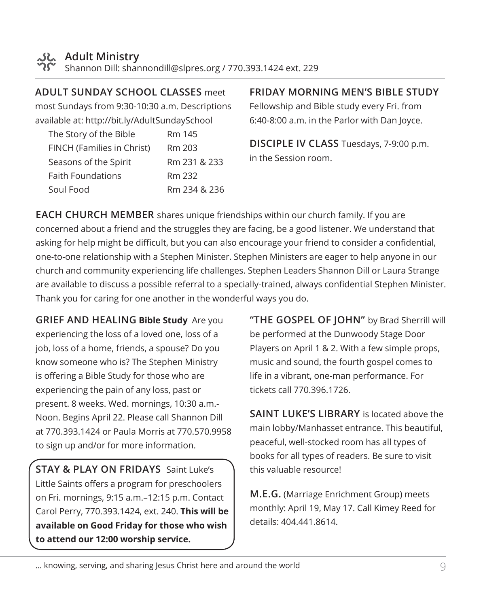

**ADULT SUNDAY SCHOOL CLASSES** meet

most Sundays from 9:30-10:30 a.m. Descriptions available at: http://bit.ly/AdultSundaySchool

| The Story of the Bible     | Rm 145       |
|----------------------------|--------------|
| FINCH (Families in Christ) | Rm 203       |
| Seasons of the Spirit      | Rm 231 & 233 |
| <b>Faith Foundations</b>   | Rm 232       |
| Soul Food                  | Rm 234 & 236 |

#### **FRIDAY MORNING MEN'S BIBLE STUDY**

Fellowship and Bible study every Fri. from 6:40-8:00 a.m. in the Parlor with Dan Joyce.

**DISCIPLE IV CLASS** Tuesdays, 7-9:00 p.m. in the Session room.

**EACH CHURCH MEMBER** shares unique friendships within our church family. If you are concerned about a friend and the struggles they are facing, be a good listener. We understand that asking for help might be difficult, but you can also encourage your friend to consider a confidential, one-to-one relationship with a Stephen Minister. Stephen Ministers are eager to help anyone in our church and community experiencing life challenges. Stephen Leaders Shannon Dill or Laura Strange are available to discuss a possible referral to a specially-trained, always confidential Stephen Minister. Thank you for caring for one another in the wonderful ways you do.

**GRIEF AND HEALING Bible Study** Are you experiencing the loss of a loved one, loss of a job, loss of a home, friends, a spouse? Do you know someone who is? The Stephen Ministry is offering a Bible Study for those who are experiencing the pain of any loss, past or present. 8 weeks. Wed. mornings, 10:30 a.m.- Noon. Begins April 22. Please call Shannon Dill at 770.393.1424 or Paula Morris at 770.570.9958 to sign up and/or for more information.

**STAY & PLAY ON FRIDAYS** Saint Luke's Little Saints offers a program for preschoolers on Fri. mornings, 9:15 a.m.–12:15 p.m. Contact Carol Perry, 770.393.1424, ext. 240. **This will be available on Good Friday for those who wish to attend our 12:00 worship service.**

**"THE GOSPEL OF JOHN"** by Brad Sherrill will be performed at the Dunwoody Stage Door Players on April 1 & 2. With a few simple props, music and sound, the fourth gospel comes to life in a vibrant, one-man performance. For tickets call 770.396.1726.

**SAINT LUKE'S LIBRARY** is located above the main lobby/Manhasset entrance. This beautiful, peaceful, well-stocked room has all types of books for all types of readers. Be sure to visit this valuable resource!

**M.E.G.** (Marriage Enrichment Group) meets monthly: April 19, May 17. Call Kimey Reed for details: 404.441.8614.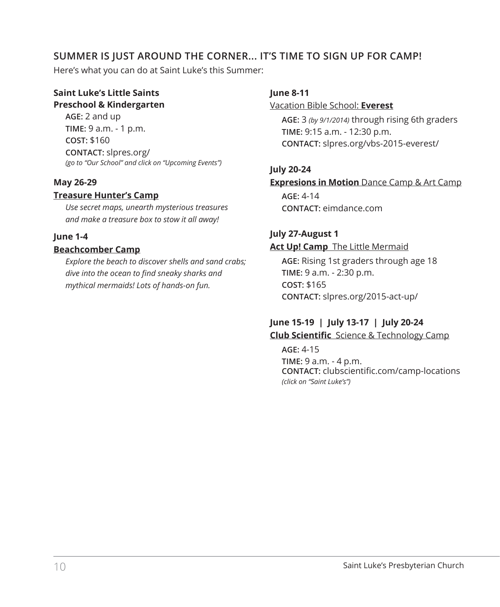#### **SUMMER IS JUST AROUND THE CORNER... IT'S TIME TO SIGN UP FOR CAMP!**

Here's what you can do at Saint Luke's this Summer:

#### **Saint Luke's Little Saints Preschool & Kindergarten**

**AGE:** 2 and up **TIME:** 9 a.m. - 1 p.m. **COST:** \$160 **CONTACT:** slpres.org/ *(go to "Our School" and click on "Upcoming Events")*

#### **May 26-29**

#### **Treasure Hunter's Camp**

*Use secret maps, unearth mysterious treasures and make a treasure box to stow it all away!*

#### **June 1-4**

#### **Beachcomber Camp**

*Explore the beach to discover shells and sand crabs; dive into the ocean to find sneaky sharks and mythical mermaids! Lots of hands-on fun.*

#### **June 8-11**

Vacation Bible School: **Everest**

**AGE:** 3 *(by 9/1/2014)* through rising 6th graders **TIME:** 9:15 a.m. - 12:30 p.m. **CONTACT:** slpres.org/vbs-2015-everest/

#### **July 20-24**

#### **Expresions in Motion** Dance Camp & Art Camp

**AGE:** 4-14 **CONTACT:** eimdance.com

#### **July 27-August 1**

#### **Act Up! Camp** The Little Mermaid

**AGE:** Rising 1st graders through age 18 **TIME:** 9 a.m. - 2:30 p.m. **COST:** \$165 **CONTACT:** slpres.org/2015-act-up/

#### **June 15-19 | July 13-17 | July 20-24 Club Scientific** Science & Technology Camp

**AGE:** 4-15 **TIME:** 9 a.m. - 4 p.m. **CONTACT:** clubscientific.com/camp-locations *(click on "Saint Luke's")*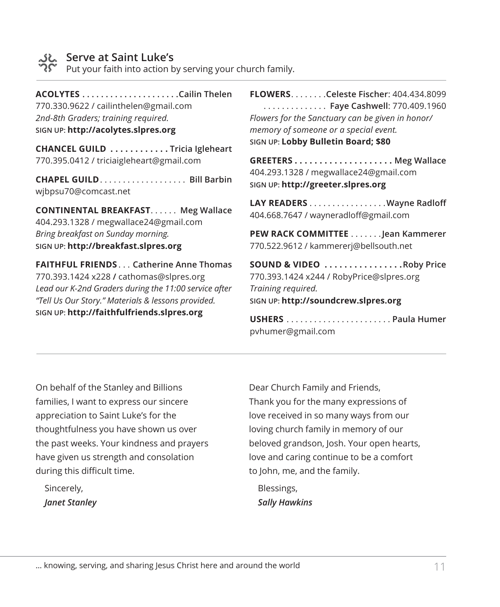

#### **Serve at Saint Luke's**

Put your faith into action by serving your church family.

**ACOLYTES. Cailin Thelen** 770.330.9622 / cailinthelen@gmail.com *2nd-8th Graders; training required.* **SIGN UP: http://acolytes.slpres.org**

**CHANCEL GUILD . . . . . . . . . . . Tricia Igleheart** 770.395.0412 / triciaigleheart@gmail.com

**CHAPEL GUILD. . . . . . . . . . . . . . . . . . Bill Barbin** wjbpsu70@comcast.net

**CONTINENTAL BREAKFAST...... Meg Wallace** 404.293.1328 / megwallace24@gmail.com *Bring breakfast on Sunday morning.* **SIGN UP: http://breakfast.slpres.org**

**FAITHFUL FRIENDS**. . **Catherine Anne Thomas** 770.393.1424 x228 **/** cathomas@slpres.org *Lead our K-2nd Graders during the 11:00 service after "Tell Us Our Story." Materials & lessons provided.* **SIGN UP: http://faithfulfriends.slpres.org**

**FLOWERS**. **Celeste Fischer**: 404.434.8099 . . **Faye Cashwell**: 770.409.1960 *Flowers for the Sanctuary can be given in honor/ memory of someone or a special event.* **SIGN UP: Lobby Bulletin Board; \$80**

**GREETERS . . . . . . . . . . . . . . . . . . . . Meg Wallace** 404.293.1328 / megwallace24@gmail.com **SIGN UP: http://greeter.slpres.org**

LAY READERS . . . . . . . . . . . . . . . . . Wayne Radloff 404.668.7647 / wayneradloff@gmail.com

**PEW RACK COMMITTEE** . . . . . . . Jean Kammerer 770.522.9612 / kammererj@bellsouth.net

**SOUND & VIDEO . . . . . . . . . . . . . . . Roby Price** 770.393.1424 x244 / RobyPrice@slpres.org *Training required.* **SIGN UP: http://soundcrew.slpres.org**

**USHERS**. **Paula Humer** pvhumer@gmail.com

On behalf of the Stanley and Billions families, I want to express our sincere appreciation to Saint Luke's for the thoughtfulness you have shown us over the past weeks. Your kindness and prayers have given us strength and consolation during this difficult time.

Sincerely, *Janet Stanley* Dear Church Family and Friends, Thank you for the many expressions of love received in so many ways from our loving church family in memory of our beloved grandson, Josh. Your open hearts, love and caring continue to be a comfort to John, me, and the family.

Blessings, *Sally Hawkins*